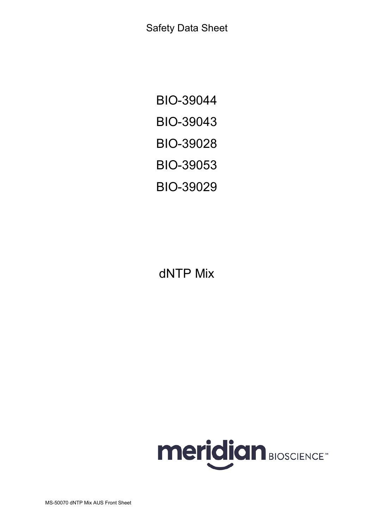Safety Data Sheet

BIO-39044 BIO-39043 BIO-39028 BIO-39053 BIO-39029

dNTP Mix



MS-50070 dNTP Mix AUS Front Sheet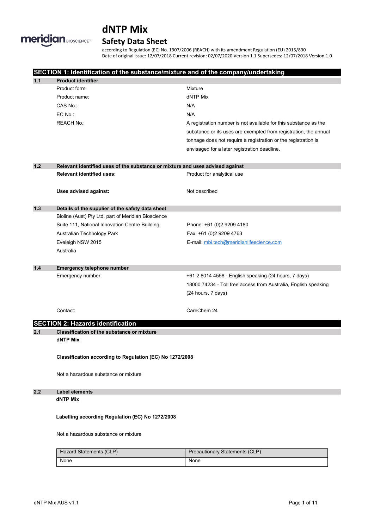# **meridian BIOSCIENCE-**

# **dNTP Mix**

# **Safety Data Sheet**

according to Regulation (EC) No. 1907/2006 (REACH) with its amendment Regulation (EU) 2015/830 Date of original issue: 12/07/2018 Current revision: 02/07/2020 Version 1.1 Supersedes: 12/07/2018 Version 1.0

|     | SECTION 1: Identification of the substance/mixture and of the company/undertaking |                                                                               |  |  |  |
|-----|-----------------------------------------------------------------------------------|-------------------------------------------------------------------------------|--|--|--|
| 1.1 | <b>Product identifier</b>                                                         |                                                                               |  |  |  |
|     | Product form:                                                                     | Mixture                                                                       |  |  |  |
|     | Product name:                                                                     | dNTP Mix                                                                      |  |  |  |
|     | CAS No.:                                                                          | N/A                                                                           |  |  |  |
|     | EC No.:                                                                           | N/A                                                                           |  |  |  |
|     | <b>REACH No.:</b>                                                                 | A registration number is not available for this substance as the              |  |  |  |
|     |                                                                                   | substance or its uses are exempted from registration, the annual              |  |  |  |
|     |                                                                                   | tonnage does not require a registration or the registration is                |  |  |  |
|     |                                                                                   | envisaged for a later registration deadline.                                  |  |  |  |
| 1.2 |                                                                                   | Relevant identified uses of the substance or mixture and uses advised against |  |  |  |
|     | <b>Relevant identified uses:</b>                                                  | Product for analytical use                                                    |  |  |  |
|     | Uses advised against:                                                             | Not described                                                                 |  |  |  |
| 1.3 | Details of the supplier of the safety data sheet                                  |                                                                               |  |  |  |
|     | Bioline (Aust) Pty Ltd, part of Meridian Bioscience                               |                                                                               |  |  |  |
|     | Suite 111, National Innovation Centre Building                                    | Phone: +61 (0)2 9209 4180                                                     |  |  |  |
|     | Australian Technology Park                                                        | Fax: +61 (0)2 9209 4763                                                       |  |  |  |
|     | Eveleigh NSW 2015                                                                 | E-mail: mbi.tech@meridianlifescience.com                                      |  |  |  |
|     | Australia                                                                         |                                                                               |  |  |  |
| 1.4 | Emergency telephone number                                                        |                                                                               |  |  |  |
|     | Emergency number:                                                                 | +61 2 8014 4558 - English speaking (24 hours, 7 days)                         |  |  |  |
|     |                                                                                   | 18000 74234 - Toll free access from Australia, English speaking               |  |  |  |
|     |                                                                                   | (24 hours, 7 days)                                                            |  |  |  |
|     | Contact:                                                                          | CareChem 24                                                                   |  |  |  |
|     | <b>SECTION 2: Hazards identification</b>                                          |                                                                               |  |  |  |
| 2.1 | <b>Classification of the substance or mixture</b>                                 |                                                                               |  |  |  |
|     | <b>dNTP Mix</b>                                                                   |                                                                               |  |  |  |
|     | Classification according to Regulation (EC) No 1272/2008                          |                                                                               |  |  |  |
|     | Not a hazardous substance or mixture                                              |                                                                               |  |  |  |
| 2.2 | <b>Label elements</b>                                                             |                                                                               |  |  |  |
|     | <b>dNTP Mix</b>                                                                   |                                                                               |  |  |  |
|     | Labelling according Regulation (EC) No 1272/2008                                  |                                                                               |  |  |  |
|     | Not a hazardous substance or mixture                                              |                                                                               |  |  |  |
|     | Hazard Statements (CLP)                                                           | Precautionary Statements (CLP)                                                |  |  |  |
|     | None                                                                              | None                                                                          |  |  |  |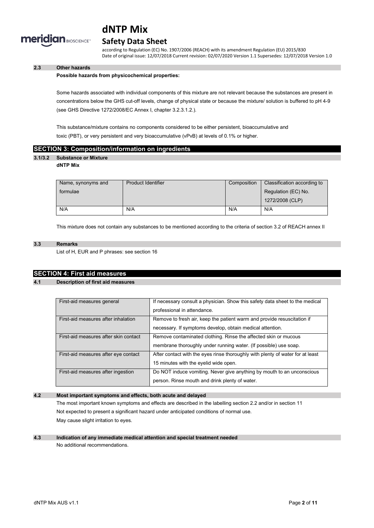

### **Safety Data Sheet**

according to Regulation (EC) No. 1907/2006 (REACH) with its amendment Regulation (EU) 2015/830 Date of original issue: 12/07/2018 Current revision: 02/07/2020 Version 1.1 Supersedes: 12/07/2018 Version 1.0

### **2.3 Other hazards**

#### **Possible hazards from physicochemical properties:**

Some hazards associated with individual components of this mixture are not relevant because the substances are present in concentrations below the GHS cut-off levels, change of physical state or because the mixture/ solution is buffered to pH 4-9 (see GHS Directive 1272/2008/EC Annex I, chapter 3.2.3.1.2.).

This substance/mixture contains no components considered to be either persistent, bioaccumulative and toxic (PBT), or very persistent and very bioaccumulative (vPvB) at levels of 0.1% or higher.

### **SECTION 3: Composition/information on ingredients**

### **3.1/3.2 Substance or Mixture**

#### **dNTP Mix**

| Name, synonyms and | <b>Product Identifier</b> | Composition | Classification according to |
|--------------------|---------------------------|-------------|-----------------------------|
| formulae           |                           |             | Regulation (EC) No.         |
|                    |                           |             | 1272/2008 (CLP)             |
| N/A                | N/A                       | N/A         | N/A                         |

This mixture does not contain any substances to be mentioned according to the criteria of section 3.2 of REACH annex II

#### **3.3 Remarks**

List of H, EUR and P phrases: see section 16

### **SECTION 4: First aid measures**

#### **4.1 Description of first aid measures**

| First-aid measures general            | If necessary consult a physician. Show this safety data sheet to the medical   |
|---------------------------------------|--------------------------------------------------------------------------------|
|                                       | professional in attendance.                                                    |
| First-aid measures after inhalation   | Remove to fresh air, keep the patient warm and provide resuscitation if        |
|                                       | necessary. If symptoms develop, obtain medical attention.                      |
| First-aid measures after skin contact | Remove contaminated clothing. Rinse the affected skin or mucous                |
|                                       | membrane thoroughly under running water. (If possible) use soap.               |
| First-aid measures after eye contact  | After contact with the eyes rinse thoroughly with plenty of water for at least |
|                                       | 15 minutes with the eyelid wide open.                                          |
| First-aid measures after ingestion    | Do NOT induce vomiting. Never give anything by mouth to an unconscious         |
|                                       | person. Rinse mouth and drink plenty of water.                                 |

### **4.2 Most important symptoms and effects, both acute and delayed**

The most important known symptoms and effects are described in the labelling section 2.2 and/or in section 11 Not expected to present a significant hazard under anticipated conditions of normal use. May cause slight irritation to eyes.

#### **4.3 Indication of any immediate medical attention and special treatment needed** No additional recommendations.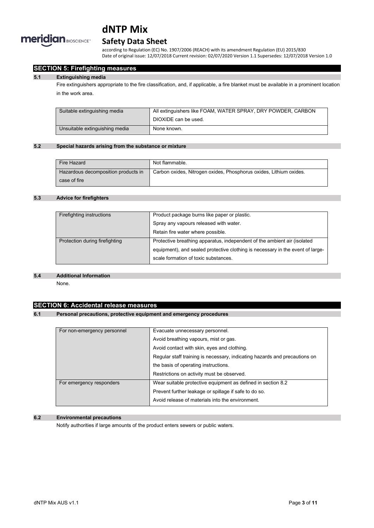

### **Safety Data Sheet**

according to Regulation (EC) No. 1907/2006 (REACH) with its amendment Regulation (EU) 2015/830 Date of original issue: 12/07/2018 Current revision: 02/07/2020 Version 1.1 Supersedes: 12/07/2018 Version 1.0

### **SECTION 5: Firefighting measures**

#### **5.1 Extinguishing media**

Fire extinguishers appropriate to the fire classification, and, if applicable, a fire blanket must be available in a prominent location in the work area.

| Suitable extinguishing media   | All extinguishers like FOAM, WATER SPRAY, DRY POWDER, CARBON |  |
|--------------------------------|--------------------------------------------------------------|--|
|                                | DIOXIDE can be used.                                         |  |
| Unsuitable extinguishing media | None known.                                                  |  |

#### **5.2 Special hazards arising from the substance or mixture**

| Fire Hazard                         | Not flammable.                                                     |
|-------------------------------------|--------------------------------------------------------------------|
| Hazardous decomposition products in | Carbon oxides, Nitrogen oxides, Phosphorus oxides, Lithium oxides. |
| case of fire                        |                                                                    |

### **5.3 Advice for firefighters**

| Firefighting instructions      | Product package burns like paper or plastic.                                   |
|--------------------------------|--------------------------------------------------------------------------------|
|                                | Spray any vapours released with water.                                         |
|                                | Retain fire water where possible.                                              |
| Protection during firefighting | Protective breathing apparatus, independent of the ambient air (isolated       |
|                                | equipment), and sealed protective clothing is necessary in the event of large- |
|                                | scale formation of toxic substances.                                           |
|                                |                                                                                |

#### **5.4 Additional Information**

None.

### **SECTION 6: Accidental release measures**

#### **6.1 Personal precautions, protective equipment and emergency procedures**

| For non-emergency personnel | Evacuate unnecessary personnel.                                            |  |
|-----------------------------|----------------------------------------------------------------------------|--|
|                             | Avoid breathing vapours, mist or gas.                                      |  |
|                             | Avoid contact with skin, eyes and clothing.                                |  |
|                             | Regular staff training is necessary, indicating hazards and precautions on |  |
|                             | the basis of operating instructions.                                       |  |
|                             | Restrictions on activity must be observed.                                 |  |
| For emergency responders    | Wear suitable protective equipment as defined in section 8.2               |  |
|                             | Prevent further leakage or spillage if safe to do so.                      |  |
|                             | Avoid release of materials into the environment.                           |  |

### **6.2 Environmental precautions**

Notify authorities if large amounts of the product enters sewers or public waters.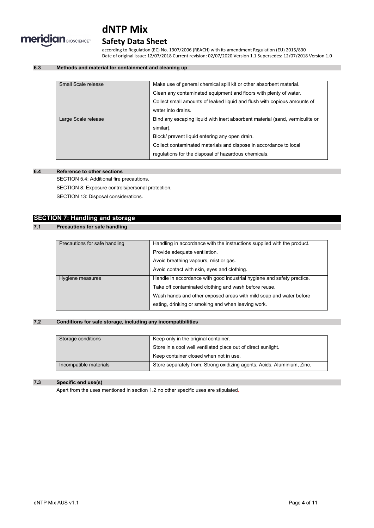

### **Safety Data Sheet**

according to Regulation (EC) No. 1907/2006 (REACH) with its amendment Regulation (EU) 2015/830 Date of original issue: 12/07/2018 Current revision: 02/07/2020 Version 1.1 Supersedes: 12/07/2018 Version 1.0

### **6.3 Methods and material for containment and cleaning up**

| Small Scale release | Make use of general chemical spill kit or other absorbent material.          |
|---------------------|------------------------------------------------------------------------------|
|                     | Clean any contaminated equipment and floors with plenty of water.            |
|                     | Collect small amounts of leaked liquid and flush with copious amounts of     |
|                     | water into drains.                                                           |
| Large Scale release | Bind any escaping liquid with inert absorbent material (sand, vermiculite or |
|                     | similar).                                                                    |
|                     | Block/ prevent liquid entering any open drain.                               |
|                     | Collect contaminated materials and dispose in accordance to local            |
|                     | regulations for the disposal of hazardous chemicals.                         |
|                     |                                                                              |

### **6.4 Reference to other sections**

SECTION 5.4: Additional fire precautions.

SECTION 8: Exposure controls/personal protection.

SECTION 13: Disposal considerations.

### **SECTION 7: Handling and storage**

### **7.1 Precautions for safe handling**

| Precautions for safe handling | Handling in accordance with the instructions supplied with the product. |  |
|-------------------------------|-------------------------------------------------------------------------|--|
|                               | Provide adequate ventilation.                                           |  |
|                               | Avoid breathing vapours, mist or gas.                                   |  |
|                               | Avoid contact with skin, eyes and clothing.                             |  |
| Hygiene measures              | Handle in accordance with good industrial hygiene and safety practice.  |  |
|                               | Take off contaminated clothing and wash before reuse.                   |  |
|                               | Wash hands and other exposed areas with mild soap and water before      |  |
|                               | eating, drinking or smoking and when leaving work.                      |  |

### **7.2 Conditions for safe storage, including any incompatibilities**

| Storage conditions     | Keep only in the original container.                                    |  |
|------------------------|-------------------------------------------------------------------------|--|
|                        | Store in a cool well ventilated place out of direct sunlight.           |  |
|                        | Keep container closed when not in use.                                  |  |
| Incompatible materials | Store separately from: Strong oxidizing agents, Acids, Aluminium, Zinc. |  |

### **7.3 Specific end use(s)**

Apart from the uses mentioned in section 1.2 no other specific uses are stipulated.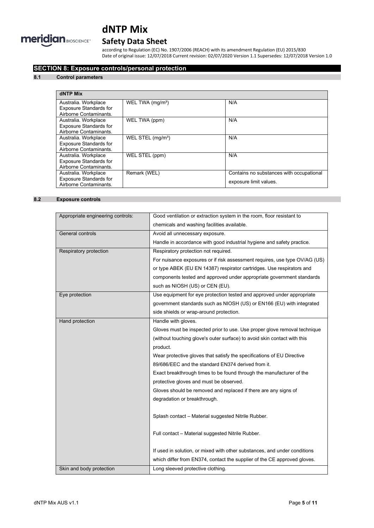

## **Safety Data Sheet**

according to Regulation (EC) No. 1907/2006 (REACH) with its amendment Regulation (EU) 2015/830 Date of original issue: 12/07/2018 Current revision: 02/07/2020 Version 1.1 Supersedes: 12/07/2018 Version 1.0

### **SECTION 8: Exposure controls/personal protection**

#### **8.1 Control parameters**

| dNTP Mix                      |                               |                                          |
|-------------------------------|-------------------------------|------------------------------------------|
| Australia. Workplace          | WEL TWA $(mg/m3)$             | N/A                                      |
| <b>Exposure Standards for</b> |                               |                                          |
| Airborne Contaminants.        |                               |                                          |
| Australia. Workplace          | WEL TWA (ppm)                 | N/A                                      |
| <b>Exposure Standards for</b> |                               |                                          |
| Airborne Contaminants.        |                               |                                          |
| Australia. Workplace          | WEL STEL (mg/m <sup>3</sup> ) | N/A                                      |
| <b>Exposure Standards for</b> |                               |                                          |
| Airborne Contaminants.        |                               |                                          |
| Australia. Workplace          | WEL STEL (ppm)                | N/A                                      |
| <b>Exposure Standards for</b> |                               |                                          |
| Airborne Contaminants.        |                               |                                          |
| Australia. Workplace          | Remark (WEL)                  | Contains no substances with occupational |
| <b>Exposure Standards for</b> |                               | exposure limit values.                   |
| Airborne Contaminants.        |                               |                                          |

### **8.2 Exposure controls**

| Appropriate engineering controls: | Good ventilation or extraction system in the room, floor resistant to      |
|-----------------------------------|----------------------------------------------------------------------------|
|                                   | chemicals and washing facilities available.                                |
| General controls                  | Avoid all unnecessary exposure.                                            |
|                                   | Handle in accordance with good industrial hygiene and safety practice.     |
| Respiratory protection            | Respiratory protection not required.                                       |
|                                   | For nuisance exposures or if risk assessment requires, use type OV/AG (US) |
|                                   | or type ABEK (EU EN 14387) respirator cartridges. Use respirators and      |
|                                   | components tested and approved under appropriate government standards      |
|                                   | such as NIOSH (US) or CEN (EU).                                            |
| Eye protection                    | Use equipment for eye protection tested and approved under appropriate     |
|                                   | government standards such as NIOSH (US) or EN166 (EU) with integrated      |
|                                   | side shields or wrap-around protection.                                    |
| Hand protection                   | Handle with gloves.                                                        |
|                                   | Gloves must be inspected prior to use. Use proper glove removal technique  |
|                                   | (without touching glove's outer surface) to avoid skin contact with this   |
|                                   | product.                                                                   |
|                                   | Wear protective gloves that satisfy the specifications of EU Directive     |
|                                   | 89/686/EEC and the standard EN374 derived from it.                         |
|                                   | Exact breakthrough times to be found through the manufacturer of the       |
|                                   | protective gloves and must be observed.                                    |
|                                   | Gloves should be removed and replaced if there are any signs of            |
|                                   | degradation or breakthrough.                                               |
|                                   |                                                                            |
|                                   | Splash contact - Material suggested Nitrile Rubber.                        |
|                                   |                                                                            |
|                                   | Full contact - Material suggested Nitrile Rubber.                          |
|                                   |                                                                            |
|                                   | If used in solution, or mixed with other substances, and under conditions  |
|                                   | which differ from EN374, contact the supplier of the CE approved gloves.   |
| Skin and body protection          | Long sleeved protective clothing.                                          |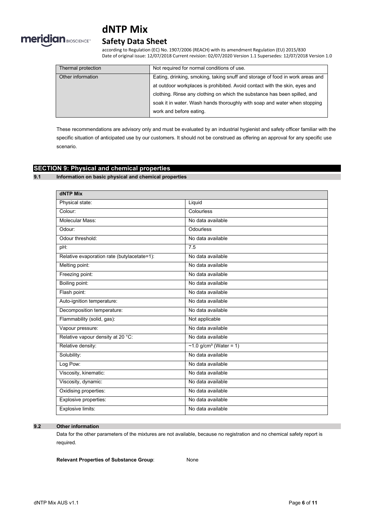

### **Safety Data Sheet**

according to Regulation (EC) No. 1907/2006 (REACH) with its amendment Regulation (EU) 2015/830 Date of original issue: 12/07/2018 Current revision: 02/07/2020 Version 1.1 Supersedes: 12/07/2018 Version 1.0

| Thermal protection | Not required for normal conditions of use.                                    |
|--------------------|-------------------------------------------------------------------------------|
| Other information  | Eating, drinking, smoking, taking snuff and storage of food in work areas and |
|                    | at outdoor workplaces is prohibited. Avoid contact with the skin, eyes and    |
|                    | clothing. Rinse any clothing on which the substance has been spilled, and     |
|                    | soak it in water. Wash hands thoroughly with soap and water when stopping     |
|                    | work and before eating.                                                       |

These recommendations are advisory only and must be evaluated by an industrial hygienist and safety officer familiar with the specific situation of anticipated use by our customers. It should not be construed as offering an approval for any specific use scenario.

### **SECTION 9: Physical and chemical properties**

### **9.1 Information on basic physical and chemical properties**

| dNTP Mix                                    |                           |
|---------------------------------------------|---------------------------|
| Physical state:                             | Liquid                    |
| Colour:                                     | Colourless                |
| Molecular Mass:                             | No data available         |
| Odour <sup>-</sup>                          | Odourless                 |
| Odour threshold:                            | No data available         |
| pH:                                         | 7.5                       |
| Relative evaporation rate (butylacetate=1): | No data available         |
| Melting point:                              | No data available         |
| Freezing point:                             | No data available         |
| Boiling point:                              | No data available         |
| Flash point:                                | No data available         |
| Auto-ignition temperature:                  | No data available         |
| Decomposition temperature:                  | No data available         |
| Flammability (solid, gas):                  | Not applicable            |
| Vapour pressure:                            | No data available         |
| Relative vapour density at 20 °C:           | No data available         |
| Relative density:                           | ~1.0 $g/cm^3$ (Water = 1) |
| Solubility:                                 | No data available         |
| Log Pow:                                    | No data available         |
| Viscosity, kinematic:                       | No data available         |
| Viscosity, dynamic:                         | No data available         |
| Oxidising properties:                       | No data available         |
| Explosive properties:                       | No data available         |
| Explosive limits:                           | No data available         |

### **9.2 Other information**

Data for the other parameters of the mixtures are not available, because no registration and no chemical safety report is required.

**Relevant Properties of Substance Group**: None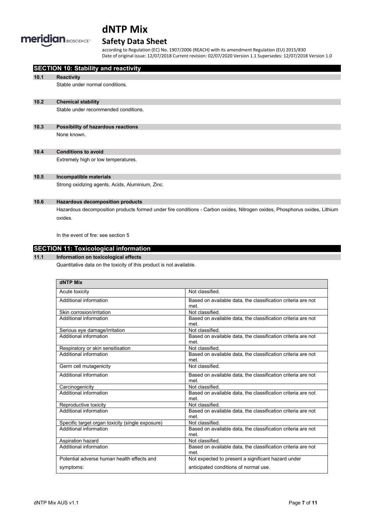

## **Safety Data Sheet**

according to Regulation (EC) No. 1907/2006 (REACH) with its amendment Regulation (EU) 2015/830 Date of original issue: 12/07/2018 Current revision: 02/07/2020 Version 1.1 Supersedes: 12/07/2018 Version 1.0

|      | <b>SECTION 10: Stability and reactivity</b>                                                                                |
|------|----------------------------------------------------------------------------------------------------------------------------|
| 10.1 | <b>Reactivity</b>                                                                                                          |
|      | Stable under normal conditions.                                                                                            |
| 10.2 | <b>Chemical stability</b>                                                                                                  |
|      | Stable under recommended conditions.                                                                                       |
| 10.3 | Possibility of hazardous reactions                                                                                         |
|      | None known.                                                                                                                |
| 10.4 | <b>Conditions to avoid</b>                                                                                                 |
|      | Extremely high or low temperatures.                                                                                        |
| 10.5 | Incompatible materials                                                                                                     |
|      | Strong oxidizing agents, Acids, Aluminium, Zinc.                                                                           |
| 10.6 | <b>Hazardous decomposition products</b>                                                                                    |
|      | Hazardous decomposition products formed under fire conditions - Carbon oxides, Nitrogen oxides, Phosphorus oxides, Lithium |
|      | oxides.                                                                                                                    |
|      | In the event of fire: see section 5                                                                                        |

### **SECTION 11: Toxicological information**

### **11.1 Information on toxicological effects**

Quantitative data on the toxicity of this product is not available.

| <b>dNTP Mix</b>                                  |                                                                      |
|--------------------------------------------------|----------------------------------------------------------------------|
| Acute toxicity                                   | Not classified                                                       |
| Additional information                           | Based on available data, the classification criteria are not<br>met  |
| Skin corrosion/irritation                        | Not classified.                                                      |
| Additional information                           | Based on available data, the classification criteria are not<br>met. |
| Serious eye damage/irritation                    | Not classified                                                       |
| Additional information                           | Based on available data, the classification criteria are not<br>met  |
| Respiratory or skin sensitisation                | Not classified.                                                      |
| Additional information                           | Based on available data, the classification criteria are not<br>met. |
| Germ cell mutagenicity                           | Not classified                                                       |
| Additional information                           | Based on available data, the classification criteria are not<br>met  |
| Carcinogenicity                                  | Not classified.                                                      |
| Additional information                           | Based on available data, the classification criteria are not<br>met. |
| Reproductive toxicity                            | Not classified.                                                      |
| Additional information                           | Based on available data, the classification criteria are not<br>met. |
| Specific target organ toxicity (single exposure) | Not classified.                                                      |
| Additional information                           | Based on available data, the classification criteria are not<br>met. |
| Aspiration hazard                                | Not classified.                                                      |
| Additional information                           | Based on available data, the classification criteria are not<br>met. |
| Potential adverse human health effects and       | Not expected to present a significant hazard under                   |
| symptoms:                                        | anticipated conditions of normal use.                                |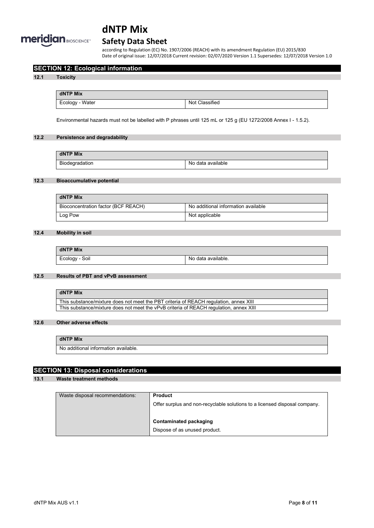

### **Safety Data Sheet**

according to Regulation (EC) No. 1907/2006 (REACH) with its amendment Regulation (EU) 2015/830 Date of original issue: 12/07/2018 Current revision: 02/07/2020 Version 1.1 Supersedes: 12/07/2018 Version 1.0

### **SECTION 12: Ecological information**

#### **12.1 Toxicity**

**dNTP Mix** Ecology - Water Not Classified

Environmental hazards must not be labelled with P phrases until 125 mL or 125 g (EU 1272/2008 Annex I - 1.5.2).

### **12.2 Persistence and degradability**

| dNTP Mix       |                   |
|----------------|-------------------|
| Biodegradation | No data available |

### **12.3 Bioaccumulative potential**

| dNTP Mix                            |                                     |
|-------------------------------------|-------------------------------------|
| Bioconcentration factor (BCF REACH) | No additional information available |
| Log Pow                             | Not applicable                      |

### **12.4 Mobility in soil**

| dNTP Mix       |                    |
|----------------|--------------------|
| Ecology - Soil | No data available. |

### **12.5 Results of PBT and vPvB assessment**

| dNTP Mix                                                                               |
|----------------------------------------------------------------------------------------|
| This substance/mixture does not meet the PBT criteria of REACH regulation, annex XIII  |
| This substance/mixture does not meet the vPvB criteria of REACH regulation, annex XIII |

#### **12.6 Other adverse effects**

### **dNTP Mix**

No additional information available.

### **SECTION 13: Disposal considerations**

**13.1 Waste treatment methods**

| Waste disposal recommendations: | <b>Product</b>                                                             |
|---------------------------------|----------------------------------------------------------------------------|
|                                 | Offer surplus and non-recyclable solutions to a licensed disposal company. |
|                                 |                                                                            |
|                                 | Contaminated packaging                                                     |
|                                 | Dispose of as unused product.                                              |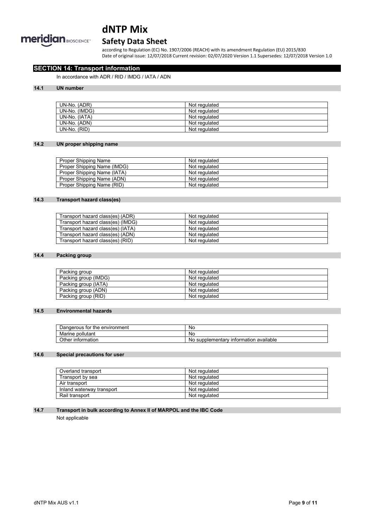

### **Safety Data Sheet**

according to Regulation (EC) No. 1907/2006 (REACH) with its amendment Regulation (EU) 2015/830 Date of original issue: 12/07/2018 Current revision: 02/07/2020 Version 1.1 Supersedes: 12/07/2018 Version 1.0

### **SECTION 14: Transport information**

In accordance with ADR / RID / IMDG / IATA / ADN

### **14.1 UN number**

| UN-No. (ADR)  | Not regulated |
|---------------|---------------|
| UN-No. (IMDG) | Not regulated |
| UN-No. (IATA) | Not regulated |
| UN-No. (ADN)  | Not regulated |
| UN-No. (RID)  | Not regulated |

### **14.2 UN proper shipping name**

| Proper Shipping Name        | Not regulated |
|-----------------------------|---------------|
| Proper Shipping Name (IMDG) | Not regulated |
| Proper Shipping Name (IATA) | Not regulated |
| Proper Shipping Name (ADN)  | Not regulated |
| Proper Shipping Name (RID)  | Not regulated |

### **14.3 Transport hazard class(es)**

| Transport hazard class(es) (ADR)  | Not regulated |
|-----------------------------------|---------------|
| Transport hazard class(es) (IMDG) | Not regulated |
| Transport hazard class(es) (IATA) | Not regulated |
| Transport hazard class(es) (ADN)  | Not regulated |
| Transport hazard class(es) (RID)  | Not regulated |

#### **14.4 Packing group**

| Packing group        | Not regulated |
|----------------------|---------------|
| Packing group (IMDG) | Not regulated |
| Packing group (IATA) | Not regulated |
| Packing group (ADN)  | Not regulated |
| Packing group (RID)  | Not regulated |

### **14.5 Environmental hazards**

| the environment<br>tor<br>Dangerous | <b>No</b>                                         |
|-------------------------------------|---------------------------------------------------|
| pollutant<br>Marine                 | <b>No</b>                                         |
| Other<br>∶information               | available<br>supplementary<br>⊺ınformatıon<br>Nc. |

### **14.6 Special precautions for user**

| Overland transport        | Not regulated |
|---------------------------|---------------|
| Transport by sea          | Not regulated |
| Air transport             | Not regulated |
| Inland waterway transport | Not regulated |
| Rail transport            | Not regulated |

#### **14.7 Transport in bulk according to Annex II of MARPOL and the IBC Code**

Not applicable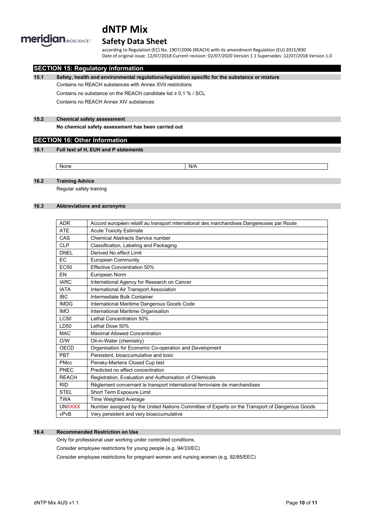

### **Safety Data Sheet**

according to Regulation (EC) No. 1907/2006 (REACH) with its amendment Regulation (EU) 2015/830 Date of original issue: 12/07/2018 Current revision: 02/07/2020 Version 1.1 Supersedes: 12/07/2018 Version 1.0

### **SECTION 15: Regulatory information**

**15.1 Safety, health and environmental regulations/legislation specific for the substance or mixture**

Contains no REACH substances with Annex XVII restrictions

Contains no substance on the REACH candidate list ≥ 0,1 % / SCL

Contains no REACH Annex XIV substances

### **15.2 Chemical safety assessment**

**No chemical safety assessment has been carried out**

### **SECTION 16: Other Information**

#### **16.1 Full text of H, EUH and P statements**

None None N/A

### **16.2 Training Advice**

Regular safety training

#### **16.3 Abbreviations and acronyms**

| <b>ADR</b>       | Accord européen relatif au transport international des marchandises Dangereuses par Route      |
|------------------|------------------------------------------------------------------------------------------------|
| <b>ATE</b>       | <b>Acute Toxicity Estimate</b>                                                                 |
| CAS              | <b>Chemical Abstracts Service number</b>                                                       |
| <b>CLP</b>       | Classification, Labeling and Packaging                                                         |
| <b>DNEL</b>      | Derived No effect Limit                                                                        |
| <b>EC</b>        | European Community                                                                             |
| EC <sub>50</sub> | <b>Effective Concentration 50%</b>                                                             |
| EN               | European Norm                                                                                  |
| <b>IARC</b>      | International Agency for Research on Cancer                                                    |
| <b>IATA</b>      | International Air Transport Association                                                        |
| <b>IBC</b>       | Intermediate Bulk Container                                                                    |
| <b>IMDG</b>      | International Maritime Dangerous Goods Code                                                    |
| <b>IMO</b>       | International Maritime Organisation                                                            |
| LC50             | Lethal Concentration 50%                                                                       |
| LD50             | Lethal Dose 50%                                                                                |
| <b>MAC</b>       | <b>Maximal Allowed Concentration</b>                                                           |
| O/W              | Oil-in-Water (chemistry)                                                                       |
| OECD             | Organisation for Economic Co-operation and Development                                         |
| PBT              | Persistent, bioaccumulative and toxic                                                          |
| <b>PMcc</b>      | Pensky-Martens Closed Cup test                                                                 |
| PNEC             | Predicted no effect concentration                                                              |
| <b>REACH</b>     | Registration, Evaluation and Authorisation of CHemicals                                        |
| <b>RID</b>       | Règlement concernant le transport international ferroviaire de marchandises                    |
| <b>STEL</b>      | Short Term Exposure Limit                                                                      |
| <b>TWA</b>       | <b>Time Weighted Average</b>                                                                   |
| <b>UNXXXX</b>    | Number assigned by the United Nations Committee of Experts on the Transport of Dangerous Goods |
| vPvB             | Very persistent and very bioaccumulative                                                       |

### **16.4 Recommended Restriction on Use**

Only for professional user working under controlled conditions.

Consider employee restrictions for young people (e.g. 94/33/EC)

Consider employee restrictions for pregnant women and nursing women (e.g. 92/85/EEC)